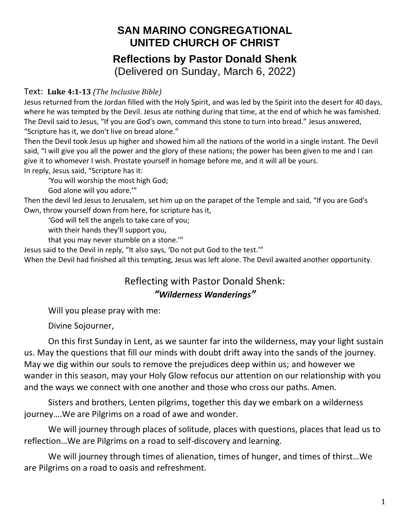## **SAN MARINO CONGREGATIONAL UNITED CHURCH OF CHRIST Reflections by Pastor Donald Shenk** (Delivered on Sunday, March 6, 2022)

## Text: **Luke 4:1-13** *(The Inclusive Bible)*

Jesus returned from the Jordan filled with the Holy Spirit, and was led by the Spirit into the desert for 40 days, where he was tempted by the Devil. Jesus ate nothing during that time, at the end of which he was famished. The Devil said to Jesus, "If you are God's own, command this stone to turn into bread." Jesus answered, "Scripture has it, we don't live on bread alone."

Then the Devil took Jesus up higher and showed him all the nations of the world in a single instant. The Devil said, "I will give you all the power and the glory of these nations; the power has been given to me and I can give it to whomever I wish. Prostate yourself in homage before me, and it will all be yours. In reply, Jesus said, "Scripture has it:

'You will worship the most high God;

God alone will you adore.'"

Then the devil led Jesus to Jerusalem, set him up on the parapet of the Temple and said, "If you are God's Own, throw yourself down from here, for scripture has it,

'God will tell the angels to take care of you;

with their hands they'll support you,

that you may never stumble on a stone.'"

Jesus said to the Devil in reply, "It also says, 'Do not put God to the test.'"

When the Devil had finished all this tempting, Jesus was left alone. The Devil awaited another opportunity.

## Reflecting with Pastor Donald Shenk: *"Wilderness Wanderings"*

Will you please pray with me:

Divine Sojourner,

On this first Sunday in Lent, as we saunter far into the wilderness, may your light sustain us. May the questions that fill our minds with doubt drift away into the sands of the journey. May we dig within our souls to remove the prejudices deep within us; and however we wander in this season, may your Holy Glow refocus our attention on our relationship with you and the ways we connect with one another and those who cross our paths. Amen.

Sisters and brothers, Lenten pilgrims, together this day we embark on a wilderness journey….We are Pilgrims on a road of awe and wonder.

We will journey through places of solitude, places with questions, places that lead us to reflection…We are Pilgrims on a road to self-discovery and learning.

We will journey through times of alienation, times of hunger, and times of thirst…We are Pilgrims on a road to oasis and refreshment.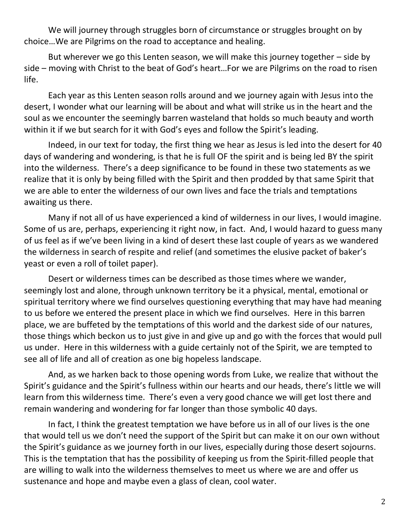We will journey through struggles born of circumstance or struggles brought on by choice…We are Pilgrims on the road to acceptance and healing.

But wherever we go this Lenten season, we will make this journey together – side by side – moving with Christ to the beat of God's heart…For we are Pilgrims on the road to risen life.

Each year as this Lenten season rolls around and we journey again with Jesus into the desert, I wonder what our learning will be about and what will strike us in the heart and the soul as we encounter the seemingly barren wasteland that holds so much beauty and worth within it if we but search for it with God's eyes and follow the Spirit's leading.

Indeed, in our text for today, the first thing we hear as Jesus is led into the desert for 40 days of wandering and wondering, is that he is full OF the spirit and is being led BY the spirit into the wilderness. There's a deep significance to be found in these two statements as we realize that it is only by being filled with the Spirit and then prodded by that same Spirit that we are able to enter the wilderness of our own lives and face the trials and temptations awaiting us there.

Many if not all of us have experienced a kind of wilderness in our lives, I would imagine. Some of us are, perhaps, experiencing it right now, in fact. And, I would hazard to guess many of us feel as if we've been living in a kind of desert these last couple of years as we wandered the wilderness in search of respite and relief (and sometimes the elusive packet of baker's yeast or even a roll of toilet paper).

Desert or wilderness times can be described as those times where we wander, seemingly lost and alone, through unknown territory be it a physical, mental, emotional or spiritual territory where we find ourselves questioning everything that may have had meaning to us before we entered the present place in which we find ourselves. Here in this barren place, we are buffeted by the temptations of this world and the darkest side of our natures, those things which beckon us to just give in and give up and go with the forces that would pull us under. Here in this wilderness with a guide certainly not of the Spirit, we are tempted to see all of life and all of creation as one big hopeless landscape.

And, as we harken back to those opening words from Luke, we realize that without the Spirit's guidance and the Spirit's fullness within our hearts and our heads, there's little we will learn from this wilderness time. There's even a very good chance we will get lost there and remain wandering and wondering for far longer than those symbolic 40 days.

In fact, I think the greatest temptation we have before us in all of our lives is the one that would tell us we don't need the support of the Spirit but can make it on our own without the Spirit's guidance as we journey forth in our lives, especially during those desert sojourns. This is the temptation that has the possibility of keeping us from the Spirit-filled people that are willing to walk into the wilderness themselves to meet us where we are and offer us sustenance and hope and maybe even a glass of clean, cool water.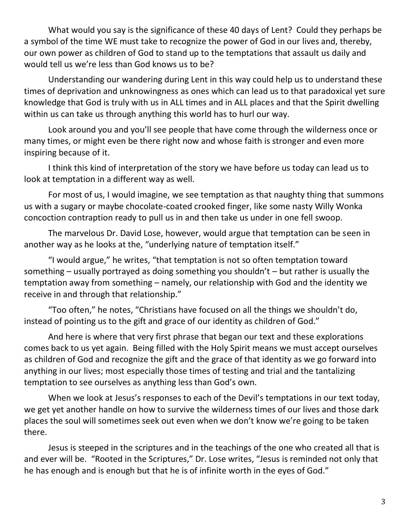What would you say is the significance of these 40 days of Lent? Could they perhaps be a symbol of the time WE must take to recognize the power of God in our lives and, thereby, our own power as children of God to stand up to the temptations that assault us daily and would tell us we're less than God knows us to be?

Understanding our wandering during Lent in this way could help us to understand these times of deprivation and unknowingness as ones which can lead us to that paradoxical yet sure knowledge that God is truly with us in ALL times and in ALL places and that the Spirit dwelling within us can take us through anything this world has to hurl our way.

Look around you and you'll see people that have come through the wilderness once or many times, or might even be there right now and whose faith is stronger and even more inspiring because of it.

I think this kind of interpretation of the story we have before us today can lead us to look at temptation in a different way as well.

For most of us, I would imagine, we see temptation as that naughty thing that summons us with a sugary or maybe chocolate-coated crooked finger, like some nasty Willy Wonka concoction contraption ready to pull us in and then take us under in one fell swoop.

The marvelous Dr. David Lose, however, would argue that temptation can be seen in another way as he looks at the, "underlying nature of temptation itself."

"I would argue," he writes, "that temptation is not so often temptation toward something – usually portrayed as doing something you shouldn't – but rather is usually the temptation away from something – namely, our relationship with God and the identity we receive in and through that relationship."

"Too often," he notes, "Christians have focused on all the things we shouldn't do, instead of pointing us to the gift and grace of our identity as children of God."

And here is where that very first phrase that began our text and these explorations comes back to us yet again. Being filled with the Holy Spirit means we must accept ourselves as children of God and recognize the gift and the grace of that identity as we go forward into anything in our lives; most especially those times of testing and trial and the tantalizing temptation to see ourselves as anything less than God's own.

When we look at Jesus's responses to each of the Devil's temptations in our text today, we get yet another handle on how to survive the wilderness times of our lives and those dark places the soul will sometimes seek out even when we don't know we're going to be taken there.

Jesus is steeped in the scriptures and in the teachings of the one who created all that is and ever will be. "Rooted in the Scriptures," Dr. Lose writes, "Jesus is reminded not only that he has enough and is enough but that he is of infinite worth in the eyes of God."